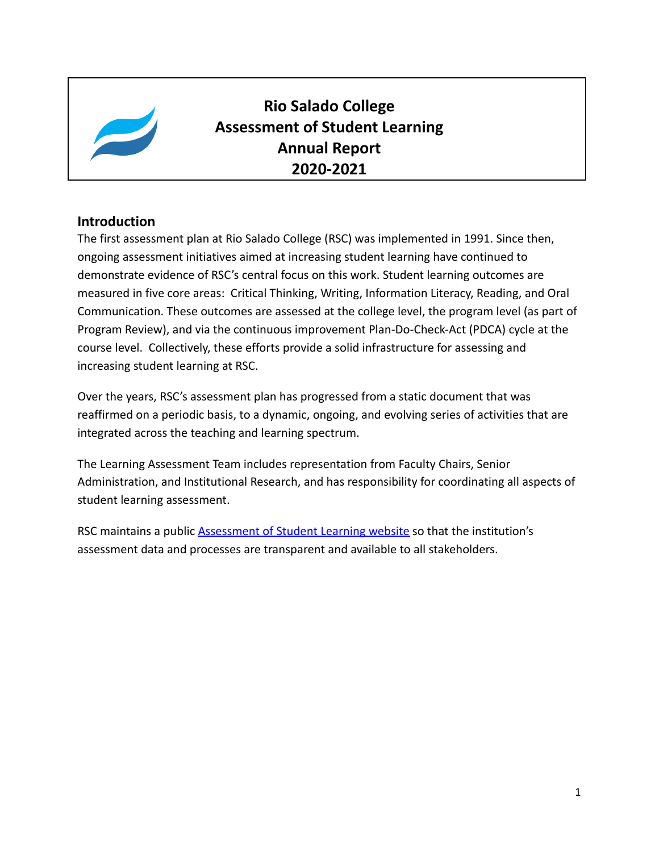

**Rio Salado College Assessment of Student Learning Annual Report 2020-2021**

### **Introduction**

The first assessment plan at Rio Salado College (RSC) was implemented in 1991. Since then, ongoing assessment initiatives aimed at increasing student learning have continued to demonstrate evidence of RSC's central focus on this work. Student learning outcomes are measured in five core areas: Critical Thinking, Writing, Information Literacy, Reading, and Oral Communication. These outcomes are assessed at the college level, the program level (as part of Program Review), and via the continuous improvement Plan-Do-Check-Act (PDCA) cycle at the course level. Collectively, these efforts provide a solid infrastructure for assessing and increasing student learning at RSC.

Over the years, RSC's assessment plan has progressed from a static document that was reaffirmed on a periodic basis, to a dynamic, ongoing, and evolving series of activities that are integrated across the teaching and learning spectrum.

The Learning Assessment Team includes representation from Faculty Chairs, Senior Administration, and Institutional Research, and has responsibility for coordinating all aspects of student learning assessment.

RSC maintains a public **[Assessment of Student Learning](https://www.riosalado.edu/about/teaching-and-learning/assessment-student-learning) website** so that the institution's assessment data and processes are transparent and available to all stakeholders.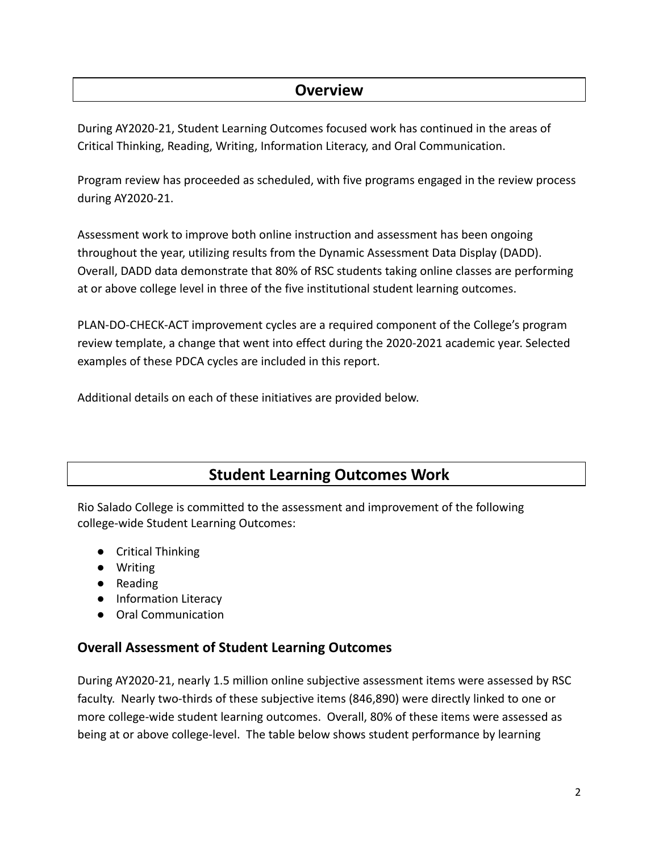### **Overview**

During AY2020-21, Student Learning Outcomes focused work has continued in the areas of Critical Thinking, Reading, Writing, Information Literacy, and Oral Communication.

Program review has proceeded as scheduled, with five programs engaged in the review process during AY2020-21.

Assessment work to improve both online instruction and assessment has been ongoing throughout the year, utilizing results from the Dynamic Assessment Data Display (DADD). Overall, DADD data demonstrate that 80% of RSC students taking online classes are performing at or above college level in three of the five institutional student learning outcomes.

PLAN-DO-CHECK-ACT improvement cycles are a required component of the College's program review template, a change that went into effect during the 2020-2021 academic year. Selected examples of these PDCA cycles are included in this report.

Additional details on each of these initiatives are provided below.

# **Student Learning Outcomes Work**

Rio Salado College is committed to the assessment and improvement of the following college-wide Student Learning Outcomes:

- Critical Thinking
- Writing
- Reading
- Information Literacy
- Oral Communication

### **Overall Assessment of Student Learning Outcomes**

During AY2020-21, nearly 1.5 million online subjective assessment items were assessed by RSC faculty. Nearly two-thirds of these subjective items (846,890) were directly linked to one or more college-wide student learning outcomes. Overall, 80% of these items were assessed as being at or above college-level. The table below shows student performance by learning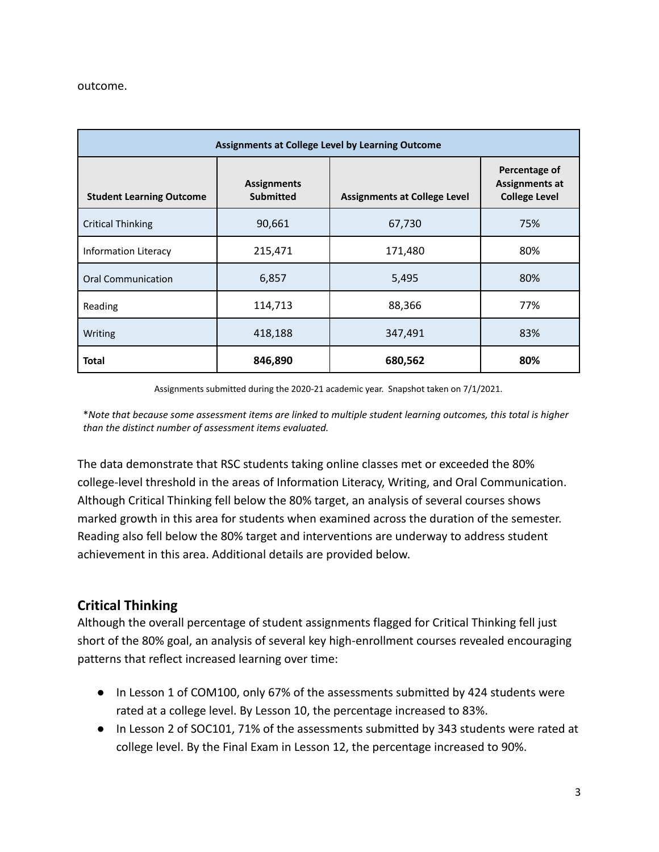#### outcome.

| Assignments at College Level by Learning Outcome |                                        |                                     |                                                                |  |  |  |  |  |
|--------------------------------------------------|----------------------------------------|-------------------------------------|----------------------------------------------------------------|--|--|--|--|--|
| <b>Student Learning Outcome</b>                  | <b>Assignments</b><br><b>Submitted</b> | <b>Assignments at College Level</b> | Percentage of<br><b>Assignments at</b><br><b>College Level</b> |  |  |  |  |  |
| <b>Critical Thinking</b>                         | 90,661                                 | 67,730                              | 75%                                                            |  |  |  |  |  |
| Information Literacy                             | 215,471                                | 171,480                             | 80%                                                            |  |  |  |  |  |
| <b>Oral Communication</b>                        | 6,857                                  | 5,495                               | 80%                                                            |  |  |  |  |  |
| Reading                                          | 114,713                                | 88,366                              | 77%                                                            |  |  |  |  |  |
| Writing                                          | 418,188                                | 347,491                             | 83%                                                            |  |  |  |  |  |
| <b>Total</b>                                     | 846,890                                | 680,562                             | 80%                                                            |  |  |  |  |  |

Assignments submitted during the 2020-21 academic year. Snapshot taken on 7/1/2021.

\*Note that because some assessment items are linked to multiple student learning outcomes, this total is higher *than the distinct number of assessment items evaluated.*

The data demonstrate that RSC students taking online classes met or exceeded the 80% college-level threshold in the areas of Information Literacy, Writing, and Oral Communication. Although Critical Thinking fell below the 80% target, an analysis of several courses shows marked growth in this area for students when examined across the duration of the semester. Reading also fell below the 80% target and interventions are underway to address student achievement in this area. Additional details are provided below.

### **Critical Thinking**

Although the overall percentage of student assignments flagged for Critical Thinking fell just short of the 80% goal, an analysis of several key high-enrollment courses revealed encouraging patterns that reflect increased learning over time:

- In Lesson 1 of COM100, only 67% of the assessments submitted by 424 students were rated at a college level. By Lesson 10, the percentage increased to 83%.
- In Lesson 2 of SOC101, 71% of the assessments submitted by 343 students were rated at college level. By the Final Exam in Lesson 12, the percentage increased to 90%.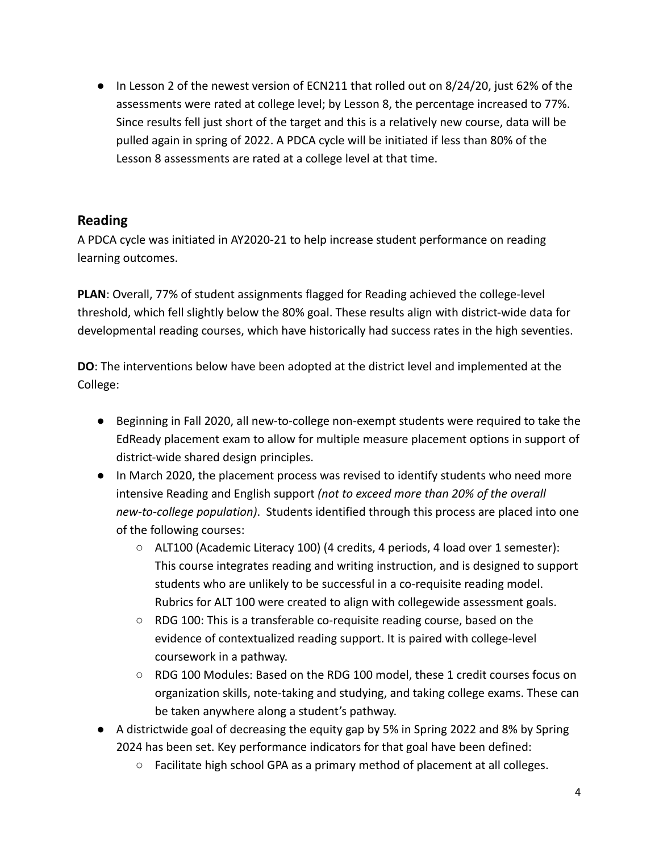● In Lesson 2 of the newest version of ECN211 that rolled out on 8/24/20, just 62% of the assessments were rated at college level; by Lesson 8, the percentage increased to 77%. Since results fell just short of the target and this is a relatively new course, data will be pulled again in spring of 2022. A PDCA cycle will be initiated if less than 80% of the Lesson 8 assessments are rated at a college level at that time.

### **Reading**

A PDCA cycle was initiated in AY2020-21 to help increase student performance on reading learning outcomes.

**PLAN**: Overall, 77% of student assignments flagged for Reading achieved the college-level threshold, which fell slightly below the 80% goal. These results align with district-wide data for developmental reading courses, which have historically had success rates in the high seventies.

**DO**: The interventions below have been adopted at the district level and implemented at the College:

- Beginning in Fall 2020, all new-to-college non-exempt students were required to take the EdReady placement exam to allow for multiple measure placement options in support of district-wide shared design principles.
- In March 2020, the placement process was revised to identify students who need more intensive Reading and English support *(not to exceed more than 20% of the overall new-to-college population)*. Students identified through this process are placed into one of the following courses:
	- ALT100 (Academic Literacy 100) (4 credits, 4 periods, 4 load over 1 semester): This course integrates reading and writing instruction, and is designed to support students who are unlikely to be successful in a co-requisite reading model. Rubrics for ALT 100 were created to align with collegewide assessment goals.
	- RDG 100: This is a transferable co-requisite reading course, based on the evidence of contextualized reading support. It is paired with college-level coursework in a pathway.
	- RDG 100 Modules: Based on the RDG 100 model, these 1 credit courses focus on organization skills, note-taking and studying, and taking college exams. These can be taken anywhere along a student's pathway.
- A districtwide goal of decreasing the equity gap by 5% in Spring 2022 and 8% by Spring 2024 has been set. Key performance indicators for that goal have been defined:
	- Facilitate high school GPA as a primary method of placement at all colleges.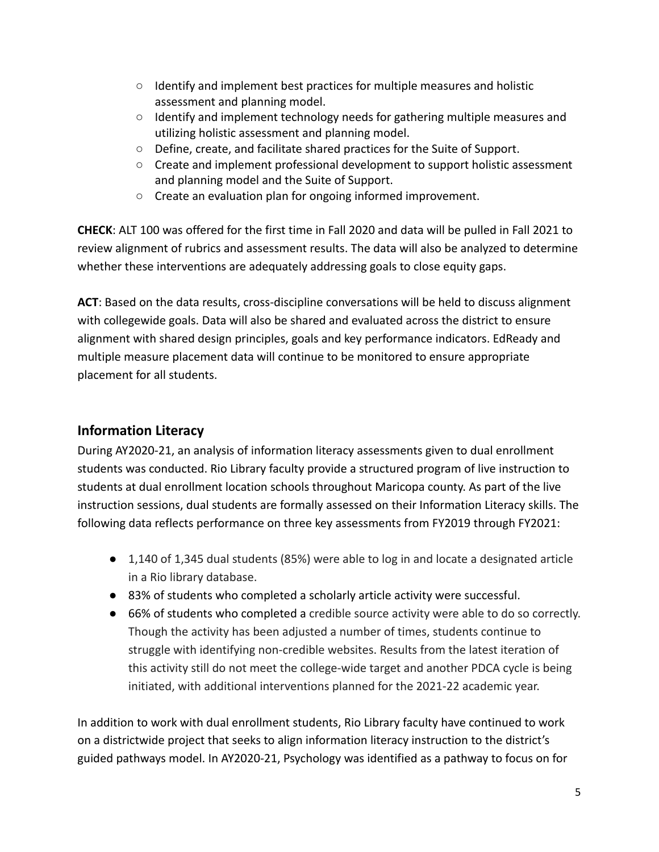- Identify and implement best practices for multiple measures and holistic assessment and planning model.
- Identify and implement technology needs for gathering multiple measures and utilizing holistic assessment and planning model.
- Define, create, and facilitate shared practices for the Suite of Support.
- Create and implement professional development to support holistic assessment and planning model and the Suite of Support.
- Create an evaluation plan for ongoing informed improvement.

**CHECK**: ALT 100 was offered for the first time in Fall 2020 and data will be pulled in Fall 2021 to review alignment of rubrics and assessment results. The data will also be analyzed to determine whether these interventions are adequately addressing goals to close equity gaps.

**ACT**: Based on the data results, cross-discipline conversations will be held to discuss alignment with collegewide goals. Data will also be shared and evaluated across the district to ensure alignment with shared design principles, goals and key performance indicators. EdReady and multiple measure placement data will continue to be monitored to ensure appropriate placement for all students.

### **Information Literacy**

During AY2020-21, an analysis of information literacy assessments given to dual enrollment students was conducted. Rio Library faculty provide a structured program of live instruction to students at dual enrollment location schools throughout Maricopa county. As part of the live instruction sessions, dual students are formally assessed on their Information Literacy skills. The following data reflects performance on three key assessments from FY2019 through FY2021:

- 1,140 of 1,345 dual students (85%) were able to log in and locate a designated article in a Rio library database.
- 83% of students who completed a scholarly article activity were successful.
- 66% of students who completed a credible source activity were able to do so correctly. Though the activity has been adjusted a number of times, students continue to struggle with identifying non-credible websites. Results from the latest iteration of this activity still do not meet the college-wide target and another PDCA cycle is being initiated, with additional interventions planned for the 2021-22 academic year.

In addition to work with dual enrollment students, Rio Library faculty have continued to work on a districtwide project that seeks to align information literacy instruction to the district's guided pathways model. In AY2020-21, Psychology was identified as a pathway to focus on for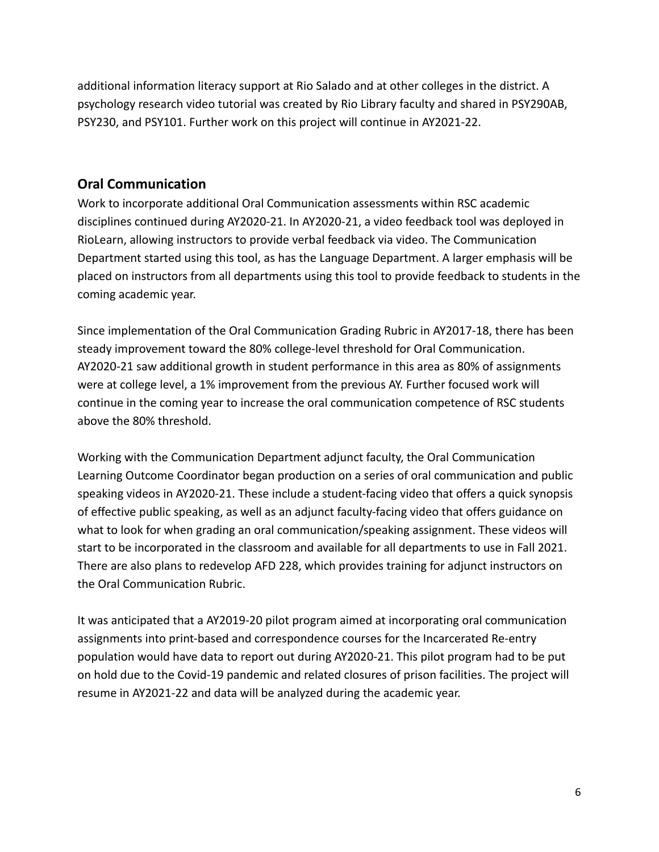additional information literacy support at Rio Salado and at other colleges in the district. A psychology research video tutorial was created by Rio Library faculty and shared in PSY290AB, PSY230, and PSY101. Further work on this project will continue in AY2021-22.

### **Oral Communication**

Work to incorporate additional Oral Communication assessments within RSC academic disciplines continued during AY2020-21. In AY2020-21, a video feedback tool was deployed in RioLearn, allowing instructors to provide verbal feedback via video. The Communication Department started using this tool, as has the Language Department. A larger emphasis will be placed on instructors from all departments using this tool to provide feedback to students in the coming academic year.

Since implementation of the Oral Communication Grading Rubric in AY2017-18, there has been steady improvement toward the 80% college-level threshold for Oral Communication. AY2020-21 saw additional growth in student performance in this area as 80% of assignments were at college level, a 1% improvement from the previous AY. Further focused work will continue in the coming year to increase the oral communication competence of RSC students above the 80% threshold.

Working with the Communication Department adjunct faculty, the Oral Communication Learning Outcome Coordinator began production on a series of oral communication and public speaking videos in AY2020-21. These include a student-facing video that offers a quick synopsis of effective public speaking, as well as an adjunct faculty-facing video that offers guidance on what to look for when grading an oral communication/speaking assignment. These videos will start to be incorporated in the classroom and available for all departments to use in Fall 2021. There are also plans to redevelop AFD 228, which provides training for adjunct instructors on the Oral Communication Rubric.

It was anticipated that a AY2019-20 pilot program aimed at incorporating oral communication assignments into print-based and correspondence courses for the Incarcerated Re-entry population would have data to report out during AY2020-21. This pilot program had to be put on hold due to the Covid-19 pandemic and related closures of prison facilities. The project will resume in AY2021-22 and data will be analyzed during the academic year.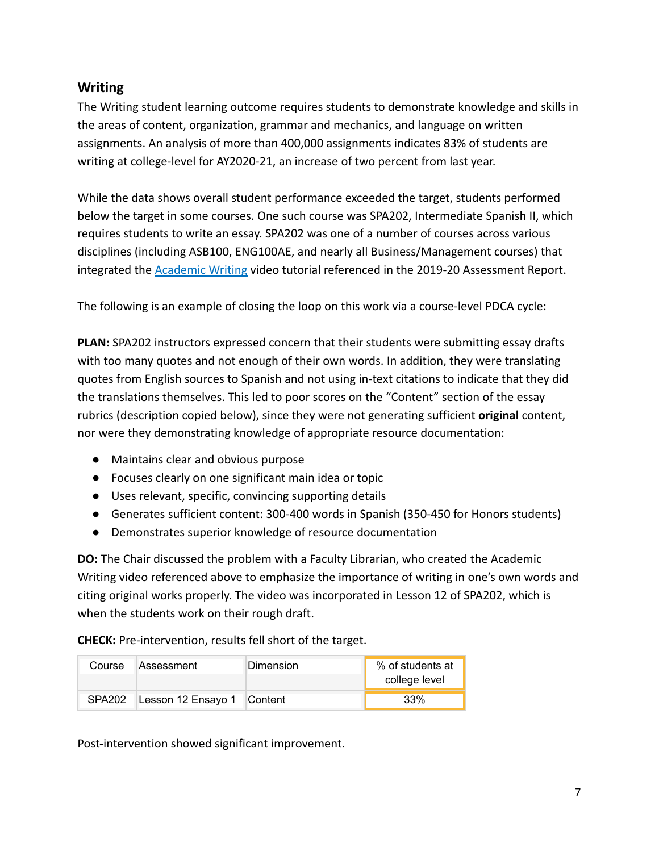### **Writing**

The Writing student learning outcome requires students to demonstrate knowledge and skills in the areas of content, organization, grammar and mechanics, and language on written assignments. An analysis of more than 400,000 assignments indicates 83% of students are writing at college-level for AY2020-21, an increase of two percent from last year.

While the data shows overall student performance exceeded the target, students performed below the target in some courses. One such course was SPA202, Intermediate Spanish II, which requires students to write an essay. SPA202 was one of a number of courses across various disciplines (including ASB100, ENG100AE, and nearly all Business/Management courses) that integrated the [Academic Writing](https://www.youtube.com/watch?v=eslWkLHSsuo) video tutorial referenced in the 2019-20 Assessment Report.

The following is an example of closing the loop on this work via a course-level PDCA cycle:

**PLAN:** SPA202 instructors expressed concern that their students were submitting essay drafts with too many quotes and not enough of their own words. In addition, they were translating quotes from English sources to Spanish and not using in-text citations to indicate that they did the translations themselves. This led to poor scores on the "Content" section of the essay rubrics (description copied below), since they were not generating sufficient **original** content, nor were they demonstrating knowledge of appropriate resource documentation:

- Maintains clear and obvious purpose
- Focuses clearly on one significant main idea or topic
- Uses relevant, specific, convincing supporting details
- Generates sufficient content: 300-400 words in Spanish (350-450 for Honors students)
- Demonstrates superior knowledge of resource documentation

**DO:** The Chair discussed the problem with a Faculty Librarian, who created the Academic Writing video referenced above to emphasize the importance of writing in one's own words and citing original works properly. The video was incorporated in Lesson 12 of SPA202, which is when the students work on their rough draft.

**CHECK:** Pre-intervention, results fell short of the target.

|        | Course Assessment          | Dimension | % of students at<br>college level |
|--------|----------------------------|-----------|-----------------------------------|
| SPA202 | Lesson 12 Ensayo 1 Content |           | 33%                               |

Post-intervention showed significant improvement.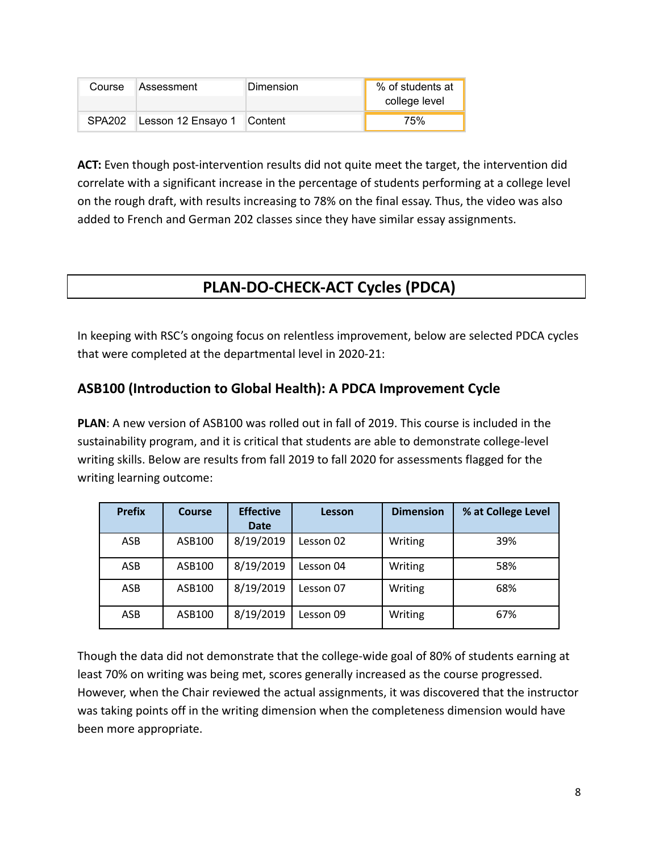| Course             | <b>Assessment</b>          | Dimension | % of students at<br>college level |
|--------------------|----------------------------|-----------|-----------------------------------|
| SPA <sub>202</sub> | Lesson 12 Ensayo 1 Content |           | 75%                               |

**ACT:** Even though post-intervention results did not quite meet the target, the intervention did correlate with a significant increase in the percentage of students performing at a college level on the rough draft, with results increasing to 78% on the final essay. Thus, the video was also added to French and German 202 classes since they have similar essay assignments.

# **PLAN-DO-CHECK-ACT Cycles (PDCA)**

In keeping with RSC's ongoing focus on relentless improvement, below are selected PDCA cycles that were completed at the departmental level in 2020-21:

### **ASB100 (Introduction to Global Health): A PDCA Improvement Cycle**

**PLAN**: A new version of ASB100 was rolled out in fall of 2019. This course is included in the sustainability program, and it is critical that students are able to demonstrate college-level writing skills. Below are results from fall 2019 to fall 2020 for assessments flagged for the writing learning outcome:

| <b>Prefix</b> | <b>Course</b> | <b>Effective</b><br><b>Date</b> | Lesson    | <b>Dimension</b> | % at College Level |
|---------------|---------------|---------------------------------|-----------|------------------|--------------------|
| ASB           | ASB100        | 8/19/2019                       | Lesson 02 | Writing          | 39%                |
| ASB           | ASB100        | 8/19/2019                       | Lesson 04 | Writing          | 58%                |
| ASB           | ASB100        | 8/19/2019                       | Lesson 07 | Writing          | 68%                |
| ASB           | ASB100        | 8/19/2019                       | Lesson 09 | Writing          | 67%                |

Though the data did not demonstrate that the college-wide goal of 80% of students earning at least 70% on writing was being met, scores generally increased as the course progressed. However, when the Chair reviewed the actual assignments, it was discovered that the instructor was taking points off in the writing dimension when the completeness dimension would have been more appropriate.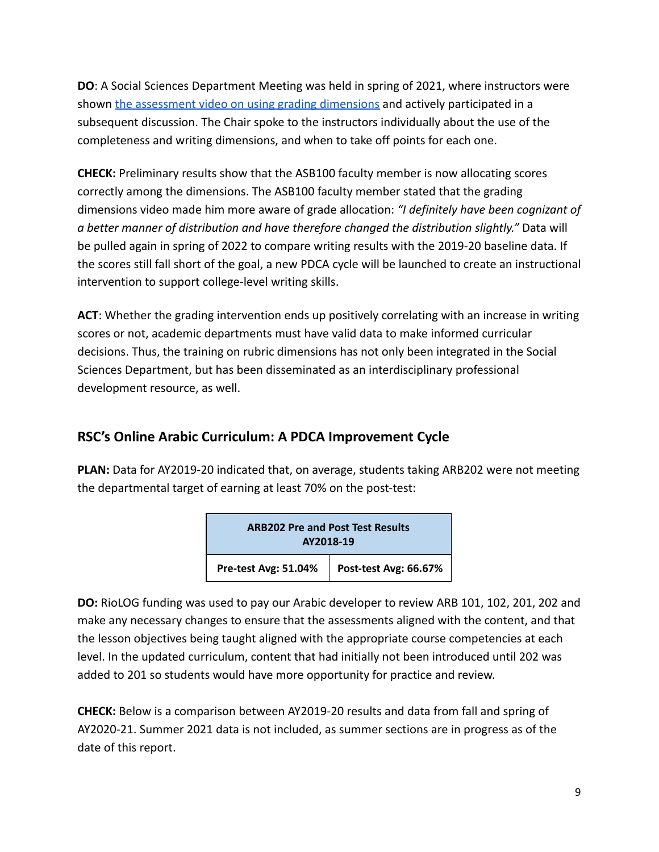**DO**: A Social Sciences Department Meeting was held in spring of 2021, where instructors were shown [the assessment video on using grading dimensions](https://youtu.be/RA7WTlbzqz8) and actively participated in a subsequent discussion. The Chair spoke to the instructors individually about the use of the completeness and writing dimensions, and when to take off points for each one.

**CHECK:** Preliminary results show that the ASB100 faculty member is now allocating scores correctly among the dimensions. The ASB100 faculty member stated that the grading dimensions video made him more aware of grade allocation: *"I definitely have been cognizant of a better manner of distribution and have therefore changed the distribution slightly."* Data will be pulled again in spring of 2022 to compare writing results with the 2019-20 baseline data. If the scores still fall short of the goal, a new PDCA cycle will be launched to create an instructional intervention to support college-level writing skills.

**ACT**: Whether the grading intervention ends up positively correlating with an increase in writing scores or not, academic departments must have valid data to make informed curricular decisions. Thus, the training on rubric dimensions has not only been integrated in the Social Sciences Department, but has been disseminated as an interdisciplinary professional development resource, as well.

### **RSC's Online Arabic Curriculum: A PDCA Improvement Cycle**

**PLAN:** Data for AY2019-20 indicated that, on average, students taking ARB202 were not meeting the departmental target of earning at least 70% on the post-test:

| <b>ARB202 Pre and Post Test Results</b><br>AY2018-19 |                                              |  |  |  |
|------------------------------------------------------|----------------------------------------------|--|--|--|
|                                                      | Pre-test Avg: 51.04%   Post-test Avg: 66.67% |  |  |  |

**DO:** RioLOG funding was used to pay our Arabic developer to review ARB 101, 102, 201, 202 and make any necessary changes to ensure that the assessments aligned with the content, and that the lesson objectives being taught aligned with the appropriate course competencies at each level. In the updated curriculum, content that had initially not been introduced until 202 was added to 201 so students would have more opportunity for practice and review.

**CHECK:** Below is a comparison between AY2019-20 results and data from fall and spring of AY2020-21. Summer 2021 data is not included, as summer sections are in progress as of the date of this report.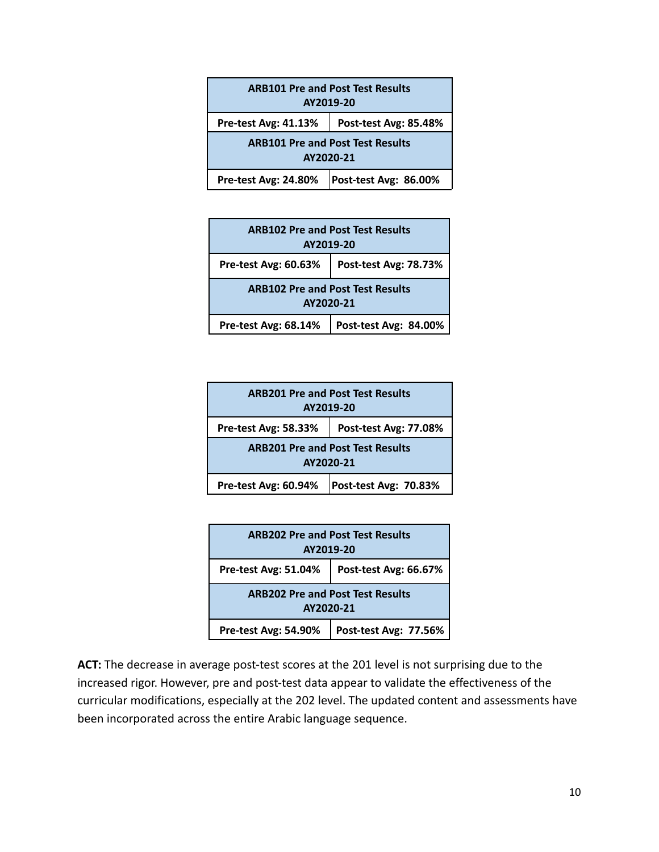| <b>ARB101 Pre and Post Test Results</b><br>AY2019-20 |  |  |  |  |  |
|------------------------------------------------------|--|--|--|--|--|
| Pre-test Avg: 41.13%<br>Post-test Avg: 85.48%        |  |  |  |  |  |
| <b>ARB101 Pre and Post Test Results</b><br>AY2020-21 |  |  |  |  |  |
| <b>Pre-test Avg: 24.80%</b><br>Post-test Avg: 86.00% |  |  |  |  |  |

| <b>ARB102 Pre and Post Test Results</b><br>AY2019-20 |  |  |  |  |  |  |
|------------------------------------------------------|--|--|--|--|--|--|
| Pre-test Avg: 60.63%<br>Post-test Avg: 78.73%        |  |  |  |  |  |  |
| <b>ARB102 Pre and Post Test Results</b><br>AY2020-21 |  |  |  |  |  |  |
| Pre-test Avg: 68.14%<br>Post-test Avg: 84.00%        |  |  |  |  |  |  |

| <b>ARB201 Pre and Post Test Results</b><br>AY2019-20 |  |  |  |  |  |  |
|------------------------------------------------------|--|--|--|--|--|--|
| Pre-test Avg: 58.33%<br>Post-test Avg: 77.08%        |  |  |  |  |  |  |
| <b>ARB201 Pre and Post Test Results</b><br>AY2020-21 |  |  |  |  |  |  |
| Pre-test Avg: 60.94%<br>Post-test Avg: 70.83%        |  |  |  |  |  |  |

| <b>ARB202 Pre and Post Test Results</b><br>AY2019-20 |                       |  |  |  |  |  |
|------------------------------------------------------|-----------------------|--|--|--|--|--|
| Pre-test Avg: 51.04%<br>Post-test Avg: 66.67%        |                       |  |  |  |  |  |
| <b>ARB202 Pre and Post Test Results</b><br>AY2020-21 |                       |  |  |  |  |  |
| <b>Pre-test Avg: 54.90%</b>                          | Post-test Avg: 77.56% |  |  |  |  |  |

**ACT:** The decrease in average post-test scores at the 201 level is not surprising due to the increased rigor. However, pre and post-test data appear to validate the effectiveness of the curricular modifications, especially at the 202 level. The updated content and assessments have been incorporated across the entire Arabic language sequence.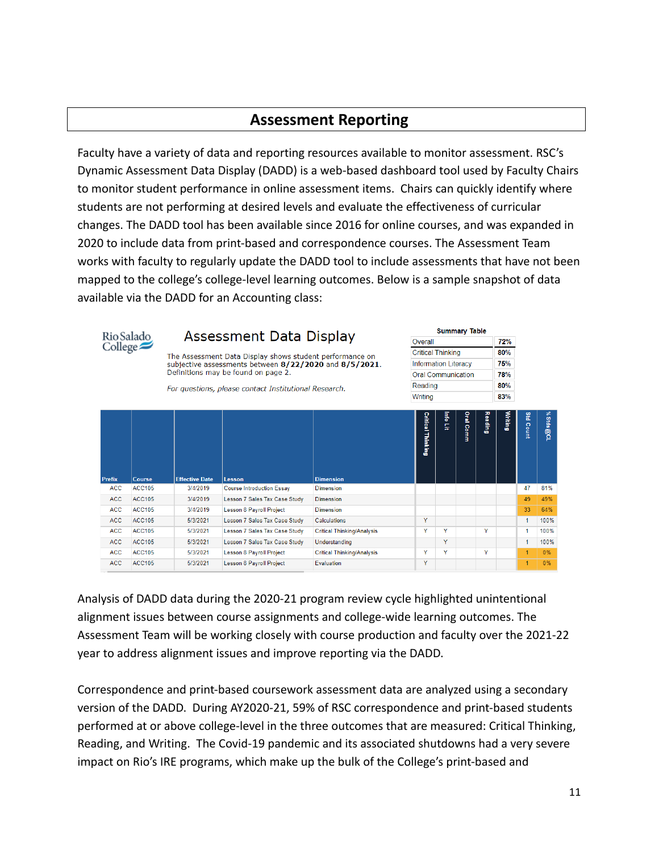## **Assessment Reporting**

Faculty have a variety of data and reporting resources available to monitor assessment. RSC's Dynamic Assessment Data Display (DADD) is a web-based dashboard tool used by Faculty Chairs to monitor student performance in online assessment items. Chairs can quickly identify where students are not performing at desired levels and evaluate the effectiveness of curricular changes. The DADD tool has been available since 2016 for online courses, and was expanded in 2020 to include data from print-based and correspondence courses. The Assessment Team works with faculty to regularly update the DADD tool to include assessments that have not been mapped to the college's college-level learning outcomes. Below is a sample snapshot of data available via the DADD for an Accounting class:

|                  | Assessment Data Display<br>Rio Salado |                       |                                                          |                                   |                                                                                       |                   | <b>Summary Table</b> |           |                |         |                |           |  |
|------------------|---------------------------------------|-----------------------|----------------------------------------------------------|-----------------------------------|---------------------------------------------------------------------------------------|-------------------|----------------------|-----------|----------------|---------|----------------|-----------|--|
| $\text{College}$ |                                       |                       |                                                          |                                   | Overall                                                                               |                   |                      |           |                | 72%     |                |           |  |
|                  |                                       |                       | The Assessment Data Display shows student performance on | <b>Critical Thinking</b>          |                                                                                       |                   |                      | 80%       |                |         |                |           |  |
|                  |                                       |                       |                                                          |                                   | <b>Information Literacy</b><br>subjective assessments between 8/22/2020 and 8/5/2021. |                   |                      |           |                |         | 75%            |           |  |
|                  |                                       |                       | Definitions may be found on page 2.                      | <b>Oral Communication</b>         |                                                                                       |                   |                      |           |                | 78%     |                |           |  |
|                  |                                       |                       | For questions, please contact Institutional Research.    |                                   | Reading                                                                               |                   |                      |           |                | 80%     |                |           |  |
|                  |                                       |                       |                                                          |                                   | Writina                                                                               |                   |                      |           |                | 83%     |                |           |  |
|                  |                                       |                       |                                                          |                                   |                                                                                       |                   |                      |           |                |         |                |           |  |
| <b>Prefix</b>    | <b>Course</b>                         | <b>Effective Date</b> | Lesson                                                   | <b>Dimension</b>                  |                                                                                       | Critical Thinking | linfo Lit            | Oral Comm | <b>Reading</b> | Writing | gtd<br>Count   | % Stds@CL |  |
| <b>ACC</b>       | <b>ACC105</b>                         | 3/4/2019              | <b>Course Introduction Essay</b>                         | <b>Dimension</b>                  |                                                                                       |                   |                      |           |                |         | 47             | 81%       |  |
| <b>ACC</b>       | <b>ACC105</b>                         | 3/4/2019              | Lesson 7 Sales Tax Case Study                            | <b>Dimension</b>                  |                                                                                       |                   |                      |           |                |         | 49             | 49%       |  |
| <b>ACC</b>       | <b>ACC105</b>                         | 3/4/2019              | <b>Lesson 8 Payroll Project</b>                          | <b>Dimension</b>                  |                                                                                       |                   |                      |           |                |         | 33             | 64%       |  |
| <b>ACC</b>       | <b>ACC105</b>                         | 5/3/2021              | Lesson 7 Sales Tax Case Study                            | <b>Calculations</b>               | Y                                                                                     |                   |                      |           |                |         | 1              | 100%      |  |
| <b>ACC</b>       | <b>ACC105</b>                         | 5/3/2021              | Lesson 7 Sales Tax Case Study                            | <b>Critical Thinking/Analysis</b> | Y                                                                                     | Y                 |                      |           | Y              |         | 1              | 100%      |  |
| <b>ACC</b>       | <b>ACC105</b>                         | 5/3/2021              | Lesson 7 Sales Tax Case Study                            | <b>Understanding</b>              |                                                                                       | Y                 |                      |           |                |         | 1              | 100%      |  |
| <b>ACC</b>       | <b>ACC105</b>                         | 5/3/2021              | <b>Lesson 8 Payroll Project</b>                          | <b>Critical Thinking/Analysis</b> | Y                                                                                     | Y                 |                      |           | Y              |         | 1              | 0%        |  |
| <b>ACC</b>       | <b>ACC105</b>                         | 5/3/2021              | <b>Lesson 8 Payroll Project</b>                          | <b>Fyaluation</b>                 | Y                                                                                     |                   |                      |           |                |         | $\overline{1}$ | 0%        |  |

Analysis of DADD data during the 2020-21 program review cycle highlighted unintentional alignment issues between course assignments and college-wide learning outcomes. The Assessment Team will be working closely with course production and faculty over the 2021-22 year to address alignment issues and improve reporting via the DADD.

Correspondence and print-based coursework assessment data are analyzed using a secondary version of the DADD. During AY2020-21, 59% of RSC correspondence and print-based students performed at or above college-level in the three outcomes that are measured: Critical Thinking, Reading, and Writing. The Covid-19 pandemic and its associated shutdowns had a very severe impact on Rio's IRE programs, which make up the bulk of the College's print-based and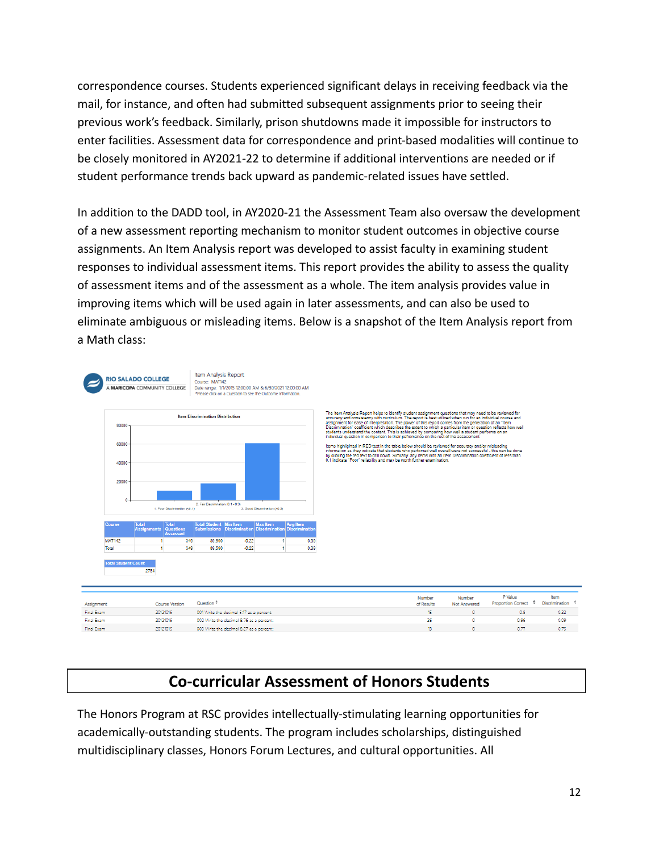correspondence courses. Students experienced significant delays in receiving feedback via the mail, for instance, and often had submitted subsequent assignments prior to seeing their previous work's feedback. Similarly, prison shutdowns made it impossible for instructors to enter facilities. Assessment data for correspondence and print-based modalities will continue to be closely monitored in AY2021-22 to determine if additional interventions are needed or if student performance trends back upward as pandemic-related issues have settled.

In addition to the DADD tool, in AY2020-21 the Assessment Team also oversaw the development of a new assessment reporting mechanism to monitor student outcomes in objective course assignments. An Item Analysis report was developed to assist faculty in examining student responses to individual assessment items. This report provides the ability to assess the quality of assessment items and of the assessment as a whole. The item analysis provides value in improving items which will be used again in later assessments, and can also be used to eliminate ambiguous or misleading items. Below is a snapshot of the Item Analysis report from a Math class:



The Item Analysis Report helps to identify student assignment questions that may need to be re<br>accuracy and consistency with certifications . The report is been utilized when the for an individual<br>Discrimination" coefficie

ltems highlighted in RED text in the table below should be reviewed for accuracy and/or misleadin<br>information as they indicate that students who performed well overall were not successful - this can<br>by clicking the red tex

| Assignment | <b>Course Version</b> | Question +                               | Number<br>of Results | Number<br>Not Answered | P Value<br><b>Proportion Correct</b> | ltern<br>Discrimination |
|------------|-----------------------|------------------------------------------|----------------------|------------------------|--------------------------------------|-------------------------|
| Final Exam | 20121015              | 001 Write the decimal 5.17 as a percent: |                      |                        | 0.8                                  | 0.22                    |
| Final Exam | 20121015              | 002 Write the decimal 8.76 as a percent: | 26                   |                        | 0.96                                 | 0.09                    |
| Final Exam | 20121015              | 003 Write the decimal 8.27 as a percent: |                      |                        | 0.77                                 | 0.75                    |

# **Co-curricular Assessment of Honors Students**

The Honors Program at RSC provides intellectually-stimulating learning opportunities for academically-outstanding students. The program includes scholarships, distinguished multidisciplinary classes, Honors Forum Lectures, and cultural opportunities. All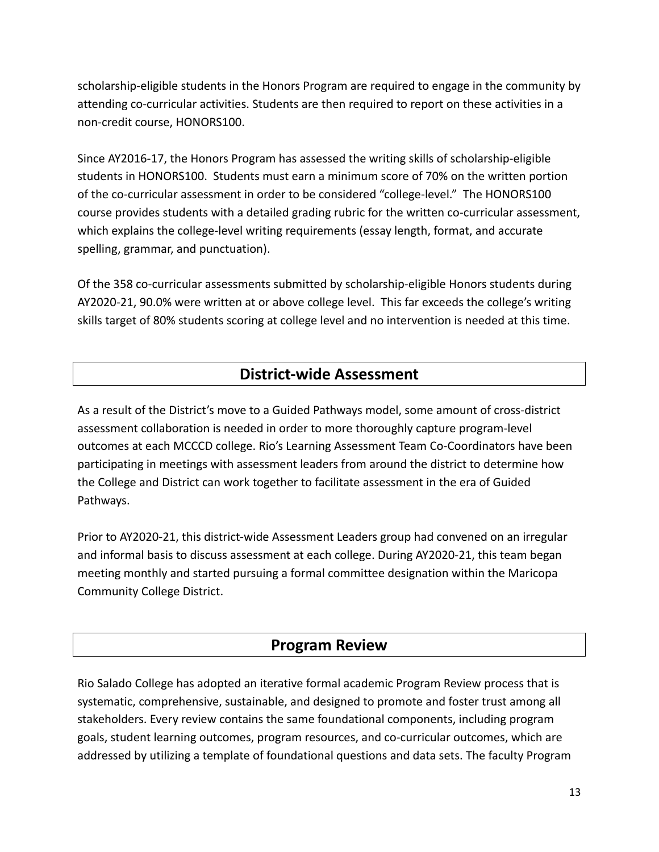scholarship-eligible students in the Honors Program are required to engage in the community by attending co-curricular activities. Students are then required to report on these activities in a non-credit course, HONORS100.

Since AY2016-17, the Honors Program has assessed the writing skills of scholarship-eligible students in HONORS100. Students must earn a minimum score of 70% on the written portion of the co-curricular assessment in order to be considered "college-level." The HONORS100 course provides students with a detailed grading rubric for the written co-curricular assessment, which explains the college-level writing requirements (essay length, format, and accurate spelling, grammar, and punctuation).

Of the 358 co-curricular assessments submitted by scholarship-eligible Honors students during AY2020-21, 90.0% were written at or above college level. This far exceeds the college's writing skills target of 80% students scoring at college level and no intervention is needed at this time.

# **District-wide Assessment**

As a result of the District's move to a Guided Pathways model, some amount of cross-district assessment collaboration is needed in order to more thoroughly capture program-level outcomes at each MCCCD college. Rio's Learning Assessment Team Co-Coordinators have been participating in meetings with assessment leaders from around the district to determine how the College and District can work together to facilitate assessment in the era of Guided Pathways.

Prior to AY2020-21, this district-wide Assessment Leaders group had convened on an irregular and informal basis to discuss assessment at each college. During AY2020-21, this team began meeting monthly and started pursuing a formal committee designation within the Maricopa Community College District.

# **Program Review**

Rio Salado College has adopted an iterative formal academic Program Review process that is systematic, comprehensive, sustainable, and designed to promote and foster trust among all stakeholders. Every review contains the same foundational components, including program goals, student learning outcomes, program resources, and co-curricular outcomes, which are addressed by utilizing a template of foundational questions and data sets. The faculty Program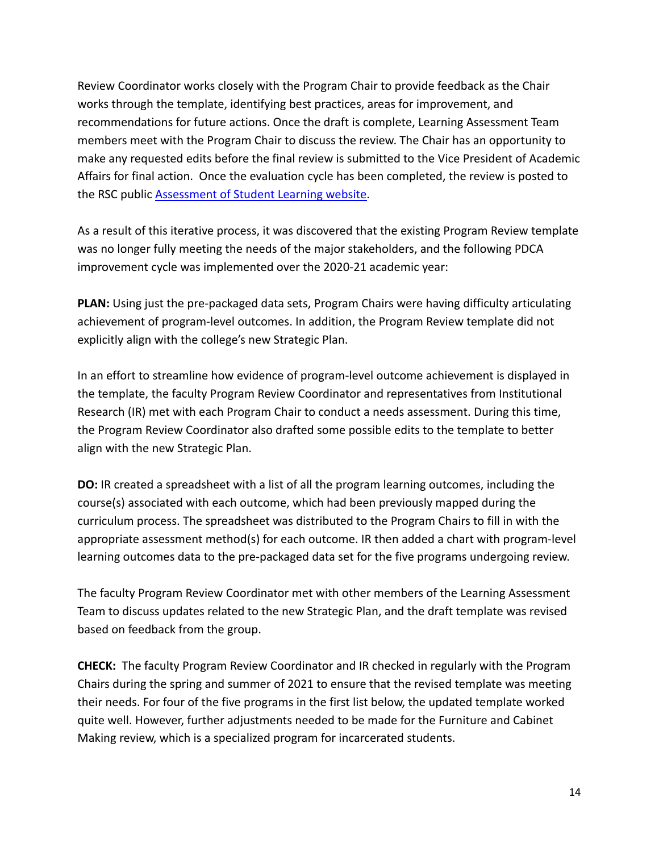Review Coordinator works closely with the Program Chair to provide feedback as the Chair works through the template, identifying best practices, areas for improvement, and recommendations for future actions. Once the draft is complete, Learning Assessment Team members meet with the Program Chair to discuss the review. The Chair has an opportunity to make any requested edits before the final review is submitted to the Vice President of Academic Affairs for final action. Once the evaluation cycle has been completed, the review is posted to the RSC public [Assessment of Student Learning website.](https://www.riosalado.edu/about/teaching-and-learning/assessment-student-learning)

As a result of this iterative process, it was discovered that the existing Program Review template was no longer fully meeting the needs of the major stakeholders, and the following PDCA improvement cycle was implemented over the 2020-21 academic year:

**PLAN:** Using just the pre-packaged data sets, Program Chairs were having difficulty articulating achievement of program-level outcomes. In addition, the Program Review template did not explicitly align with the college's new Strategic Plan.

In an effort to streamline how evidence of program-level outcome achievement is displayed in the template, the faculty Program Review Coordinator and representatives from Institutional Research (IR) met with each Program Chair to conduct a needs assessment. During this time, the Program Review Coordinator also drafted some possible edits to the template to better align with the new Strategic Plan.

**DO:** IR created a spreadsheet with a list of all the program learning outcomes, including the course(s) associated with each outcome, which had been previously mapped during the curriculum process. The spreadsheet was distributed to the Program Chairs to fill in with the appropriate assessment method(s) for each outcome. IR then added a chart with program-level learning outcomes data to the pre-packaged data set for the five programs undergoing review.

The faculty Program Review Coordinator met with other members of the Learning Assessment Team to discuss updates related to the new Strategic Plan, and the draft template was revised based on feedback from the group.

**CHECK:** The faculty Program Review Coordinator and IR checked in regularly with the Program Chairs during the spring and summer of 2021 to ensure that the revised template was meeting their needs. For four of the five programs in the first list below, the updated template worked quite well. However, further adjustments needed to be made for the Furniture and Cabinet Making review, which is a specialized program for incarcerated students.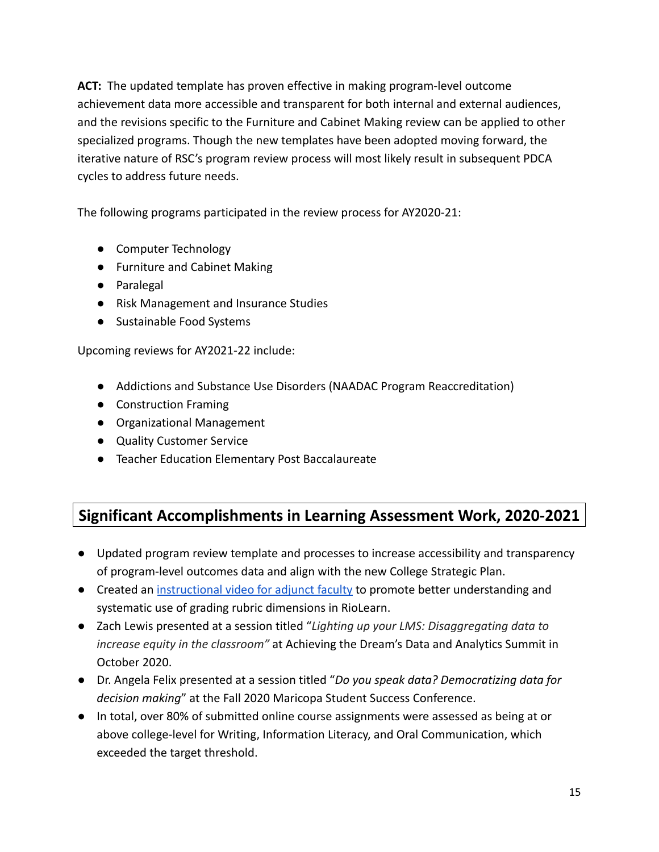**ACT:** The updated template has proven effective in making program-level outcome achievement data more accessible and transparent for both internal and external audiences, and the revisions specific to the Furniture and Cabinet Making review can be applied to other specialized programs. Though the new templates have been adopted moving forward, the iterative nature of RSC's program review process will most likely result in subsequent PDCA cycles to address future needs.

The following programs participated in the review process for AY2020-21:

- Computer Technology
- Furniture and Cabinet Making
- Paralegal
- Risk Management and Insurance Studies
- Sustainable Food Systems

Upcoming reviews for AY2021-22 include:

- Addictions and Substance Use Disorders (NAADAC Program Reaccreditation)
- Construction Framing
- Organizational Management
- Quality Customer Service
- Teacher Education Elementary Post Baccalaureate

# **Significant Accomplishments in Learning Assessment Work, 2020-2021**

- Updated program review template and processes to increase accessibility and transparency of program-level outcomes data and align with the new College Strategic Plan.
- Created an [instructional video for adjunct faculty](https://youtu.be/RA7WTlbzqz8) to promote better understanding and systematic use of grading rubric dimensions in RioLearn.
- Zach Lewis presented at a session titled "*Lighting up your LMS: Disaggregating data to increase equity in the classroom"* at Achieving the Dream's Data and Analytics Summit in October 2020.
- Dr. Angela Felix presented at a session titled "*Do you speak data? Democratizing data for decision making*" at the Fall 2020 Maricopa Student Success Conference.
- In total, over 80% of submitted online course assignments were assessed as being at or above college-level for Writing, Information Literacy, and Oral Communication, which exceeded the target threshold.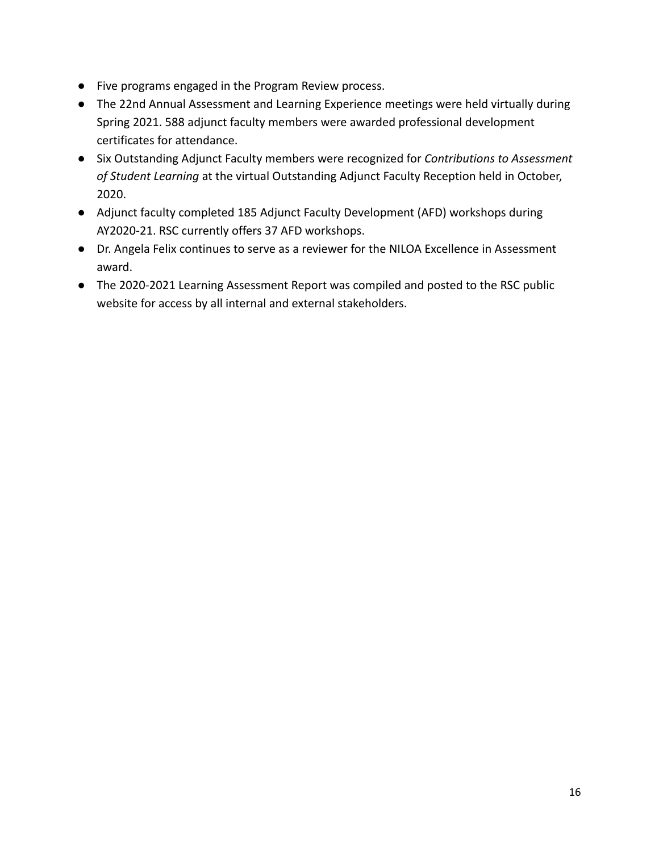- Five programs engaged in the Program Review process.
- The 22nd Annual Assessment and Learning Experience meetings were held virtually during Spring 2021. 588 adjunct faculty members were awarded professional development certificates for attendance.
- Six Outstanding Adjunct Faculty members were recognized for *Contributions to Assessment of Student Learning* at the virtual Outstanding Adjunct Faculty Reception held in October, 2020.
- Adjunct faculty completed 185 Adjunct Faculty Development (AFD) workshops during AY2020-21. RSC currently offers 37 AFD workshops.
- Dr. Angela Felix continues to serve as a reviewer for the NILOA Excellence in Assessment award.
- The 2020-2021 Learning Assessment Report was compiled and posted to the RSC public website for access by all internal and external stakeholders.